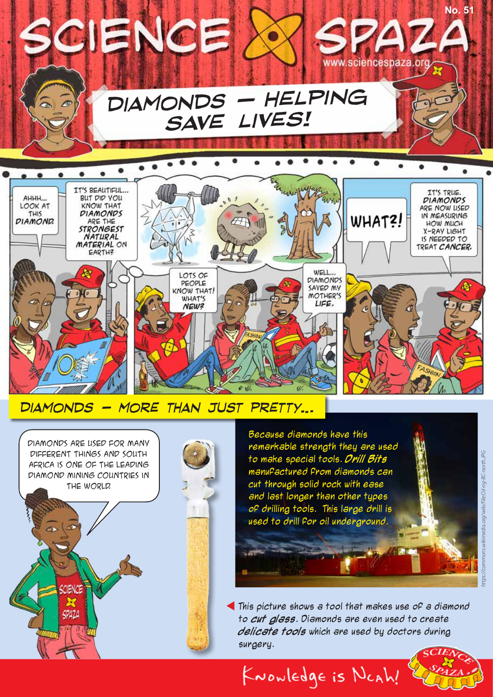

*Diamonds - more than just pretty…*





Because diamonds have this remarkable strength they are used to make special tools. **Drill Bits** manufactured from diamonds can cut through solid rock with ease and last longer than other types of drilling tools. This large drill is used to drill for oil underground.

This picture shows a tool that makes use of a diamond to **cut glass**. Diamonds are even used to create **delicate tools** which are used by doctors during surgery.

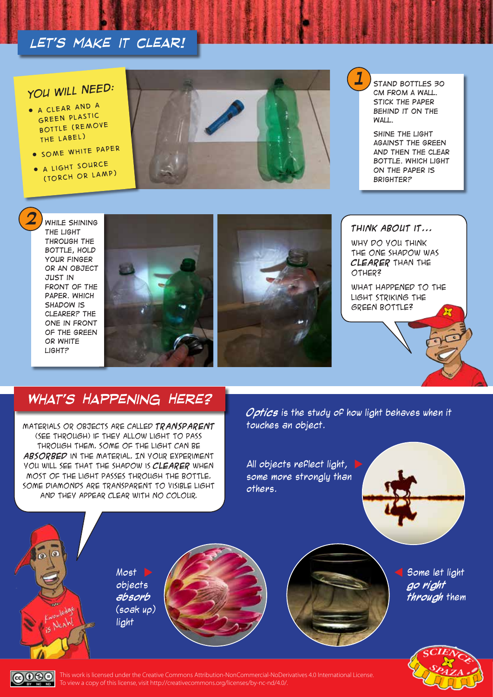## *Let's make it clear!*

# *1 You will need:*

- *A clear and a green plastic bottle (remove the label)*
- *Some white paper*
- $\bullet$  *A light source (torch or lamp)*



*Stand bottles 30 cm from a wall. Stick the paper behind it on the wall.*

*Shine the light against the green and then the clear bottle. Which light on the paper is brighter?*

*While shining the light through the bottle, hold your finger or an object just in*  **FRONT OF THE** *paper. Which shadow is clearer? The one in front of the green or white light?*





WHY DO YOU THINK the one shadow was **clearer** than the other?

What happened to the light striking the green bottle?

### *What's Happening Here?*

Materials or objects are called **transparent** (see through) if they allow light to pass through them. Some of the light can be **absorbed** in the material. In your experiment you will see that the shadow is **clearer** when most of the light passes through the bottle. Some diamonds are transparent to visible light and they appear clear with no colour.

**Optics** is the study of how light behaves when it touches an object.

All objects reflect light, some more stronaly than others.



Most D objects **absorb** (soak up) light





Some let light **go right through** them



 $\overline{6000}$ This work is licensed under the Creative Commons Attribution-NonCommercial-NoDerivatives 4.0 International License. To view a copy of this license, visit http://creativecommons.org/licenses/by-nc-nd/4.0/.  $\overline{\phantom{a}}$  and  $\overline{\phantom{a}}$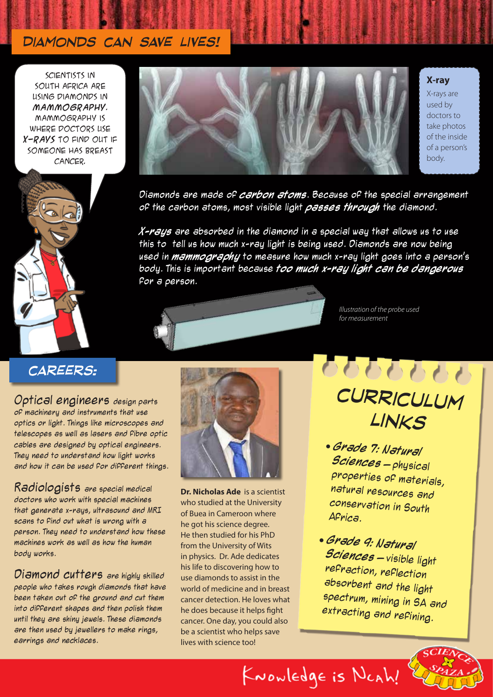### *Diamonds can save lives!*

SCIENTISTS IN South Africa are using diamonds in **mammography**. Mammography is where doctors use **x-rays** to find out if someone has breast cancer.



#### **X-ray**

X-rays are used by doctors to take photos of the inside of a person's body.



Diamonds are made of **carbon atoms**. Because of the special arrangement of the carbon atoms, most visible light **passes through** the diamond.

**X-rays** are absorbed in the diamond in a special way that allows us to use this to tell us how much x-ray light is being used. Diamonds are now being used in **mammography** to measure how much x-ray light goes into a person's body. This is important because **too much x-ray light can be dangerous** for a person.



*Illustration of the probe used for measurement*

### *careers:*

Optical engineers design parts of machinery and instruments that use optics or light. Things like microscopes and telescopes as well as lasers and fibre optic cables are designed by optical engineers. They need to understand how light works and how it can be used for different things.

Radiologists are special medical doctors who work with special machines that generate x-rays, ultrasound and MRI scans to find out what is wrong with a person. They need to understand how these machines work as well as how the human body works.

Diamond cutters are highly skilled people who takes rough diamonds that have been taken out of the ground and cut them into different shapes and then polish them until they are shiny jewels. These diamonds are then used by jewellers to make rings, earrings and necklaces.



**Dr. Nicholas Ade** is a scientist who studied at the University of Buea in Cameroon where he got his science degree. He then studied for his PhD from the University of Wits in physics. Dr. Ade dedicates his life to discovering how to use diamonds to assist in the world of medicine and in breast cancer detection. He loves what he does because it helps fight cancer. One day, you could also be a scientist who helps save lives with science too!

9999999 *curriculum links*

- **Grade 7: Natural Sciences** – physical properties of materials, natural resources and conservation in South Africa.
- **Grade 9: Natural Sciences** – visible light refraction, reflection absorbent and the light spectrum, mining in SA and extracting and refining.

KNOWLEDge is NCAh!